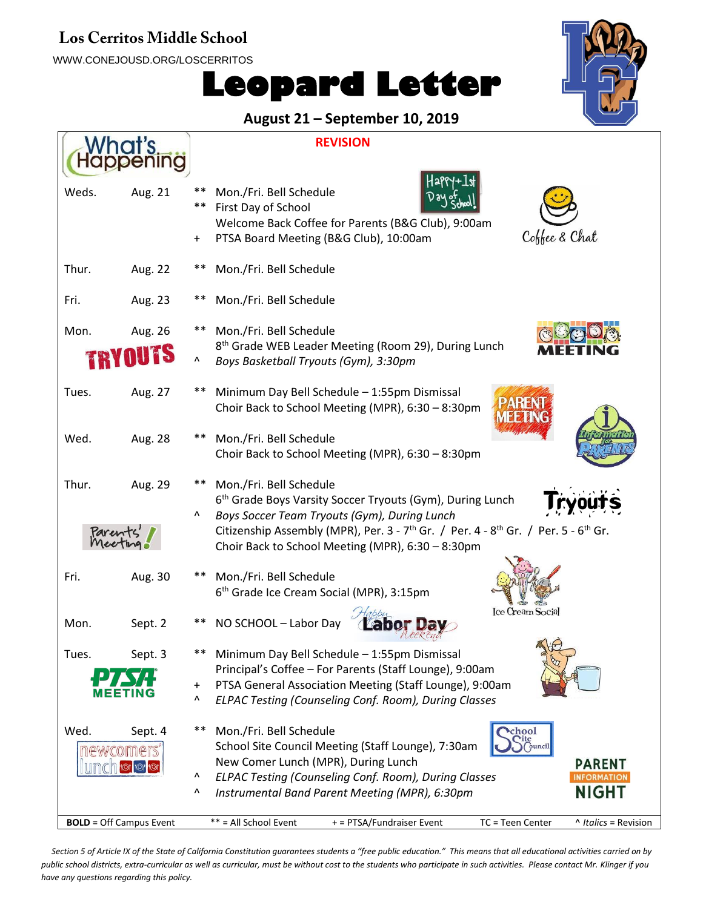#### Los Cerritos Middle School

WWW.CONEJOUSD.ORG/LOSCERRITOS





#### **August 21 – September 10, 2019**

| What's |                                | <b>REVISION</b>                                                                                                        |  |
|--------|--------------------------------|------------------------------------------------------------------------------------------------------------------------|--|
|        |                                |                                                                                                                        |  |
| Weds.  | Aug. 21                        | **<br>Mon./Fri. Bell Schedule                                                                                          |  |
|        |                                | **<br>First Day of School                                                                                              |  |
|        |                                | Welcome Back Coffee for Parents (B&G Club), 9:00am                                                                     |  |
|        |                                | Coffee & Chat<br>PTSA Board Meeting (B&G Club), 10:00am<br>$\ddot{}$                                                   |  |
| Thur.  | Aug. 22                        | Mon./Fri. Bell Schedule                                                                                                |  |
| Fri.   | Aug. 23                        | Mon./Fri. Bell Schedule                                                                                                |  |
| Mon.   | Aug. 26                        | Mon./Fri. Bell Schedule<br>**                                                                                          |  |
|        |                                | 8 <sup>th</sup> Grade WEB Leader Meeting (Room 29), During Lunch<br>Λ<br>Boys Basketball Tryouts (Gym), 3:30pm         |  |
| Tues.  | Aug. 27                        | Minimum Day Bell Schedule - 1:55pm Dismissal<br>Choir Back to School Meeting (MPR), 6:30 - 8:30pm                      |  |
| Wed.   | Aug. 28                        | Mon./Fri. Bell Schedule                                                                                                |  |
|        |                                | Choir Back to School Meeting (MPR), 6:30 - 8:30pm                                                                      |  |
| Thur.  | Aug. 29                        | Mon./Fri. Bell Schedule                                                                                                |  |
|        |                                | 6 <sup>th</sup> Grade Boys Varsity Soccer Tryouts (Gym), During Lunch                                                  |  |
|        |                                | Λ<br>Boys Soccer Team Tryouts (Gym), During Lunch                                                                      |  |
|        |                                | Citizenship Assembly (MPR), Per. 3 - 7 <sup>th</sup> Gr. / Per. 4 - 8 <sup>th</sup> Gr. / Per. 5 - 6 <sup>th</sup> Gr. |  |
|        |                                | Choir Back to School Meeting (MPR), 6:30 - 8:30pm                                                                      |  |
| Fri.   | Aug. 30                        | Mon./Fri. Bell Schedule                                                                                                |  |
|        |                                | 6 <sup>th</sup> Grade Ice Cream Social (MPR), 3:15pm                                                                   |  |
|        |                                | <b>Ice Cream Social</b>                                                                                                |  |
| Mon.   | Sept. 2                        | NO SCHOOL - Labor Day                                                                                                  |  |
| Tues.  | Sept. 3                        | **<br>Minimum Day Bell Schedule - 1:55pm Dismissal                                                                     |  |
|        |                                | Principal's Coffee - For Parents (Staff Lounge), 9:00am                                                                |  |
|        |                                | PTSA General Association Meeting (Staff Lounge), 9:00am<br>$\ddot{}$                                                   |  |
|        |                                | ۸<br>ELPAC Testing (Counseling Conf. Room), During Classes                                                             |  |
| Wed.   | Sept. 4                        | $***$<br>Mon./Fri. Bell Schedule<br>chool                                                                              |  |
|        | newcomers                      | <b>Tite</b><br>School Site Council Meeting (Staff Lounge), 7:30am<br>ouncil                                            |  |
|        |                                | New Comer Lunch (MPR), During Lunch<br><b>PARENT</b>                                                                   |  |
|        |                                | ELPAC Testing (Counseling Conf. Room), During Classes<br>Λ<br><b>INFORMATION</b>                                       |  |
|        |                                | NIGHT<br>Instrumental Band Parent Meeting (MPR), 6:30pm<br>۸                                                           |  |
|        | <b>BOLD</b> = Off Campus Event | ** = All School Event<br>+ = PTSA/Fundraiser Event<br>TC = Teen Center<br>^ Italics = Revision                         |  |

Section 5 of Article IX of the State of California Constitution guarantees students a "free public education." This means that all educational activities carried on by *public school districts, extra-curricular as well as curricular, must be without cost to the students who participate in such activities. Please contact Mr. Klinger if you have any questions regarding this policy.*